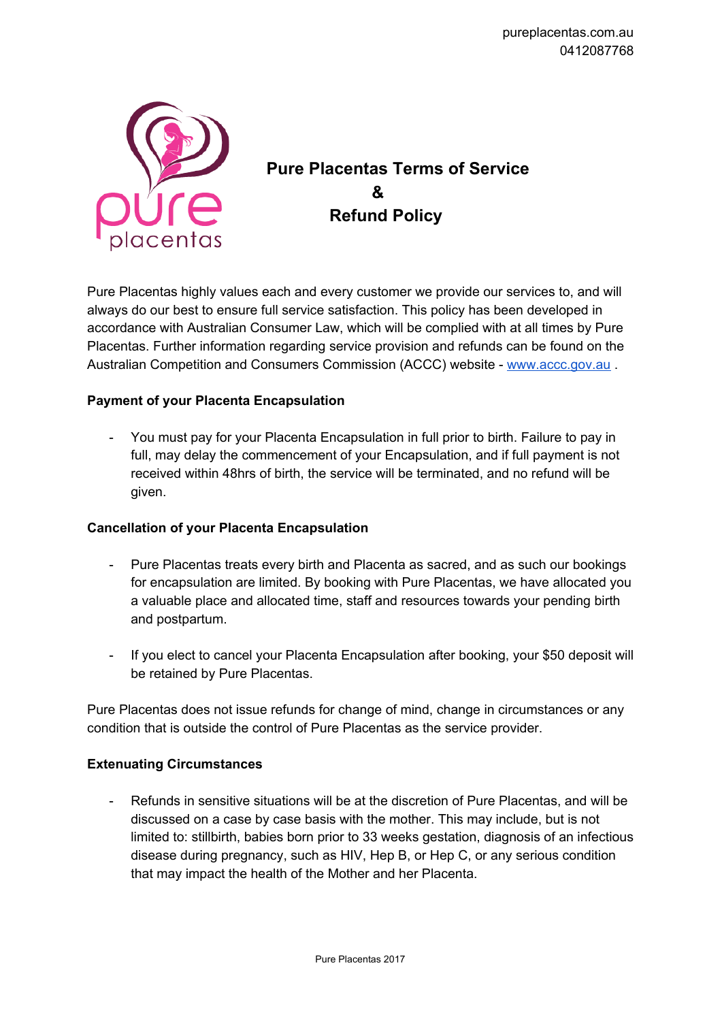

# **Pure Placentas Terms of Service & Refund Policy**

Pure Placentas highly values each and every customer we provide our services to, and will always do our best to ensure full service satisfaction. This policy has been developed in accordance with Australian Consumer Law, which will be complied with at all times by Pure Placentas. Further information regarding service provision and refunds can be found on the Australian Competition and Consumers Commission (ACCC) website - [www.accc.gov.au](http://www.accc.gov.au/).

## **Payment of your Placenta Encapsulation**

- You must pay for your Placenta Encapsulation in full prior to birth. Failure to pay in full, may delay the commencement of your Encapsulation, and if full payment is not received within 48hrs of birth, the service will be terminated, and no refund will be given.

#### **Cancellation of your Placenta Encapsulation**

- Pure Placentas treats every birth and Placenta as sacred, and as such our bookings for encapsulation are limited. By booking with Pure Placentas, we have allocated you a valuable place and allocated time, staff and resources towards your pending birth and postpartum.
- If you elect to cancel your Placenta Encapsulation after booking, your \$50 deposit will be retained by Pure Placentas.

Pure Placentas does not issue refunds for change of mind, change in circumstances or any condition that is outside the control of Pure Placentas as the service provider.

#### **Extenuating Circumstances**

Refunds in sensitive situations will be at the discretion of Pure Placentas, and will be discussed on a case by case basis with the mother. This may include, but is not limited to: stillbirth, babies born prior to 33 weeks gestation, diagnosis of an infectious disease during pregnancy, such as HIV, Hep B, or Hep C, or any serious condition that may impact the health of the Mother and her Placenta.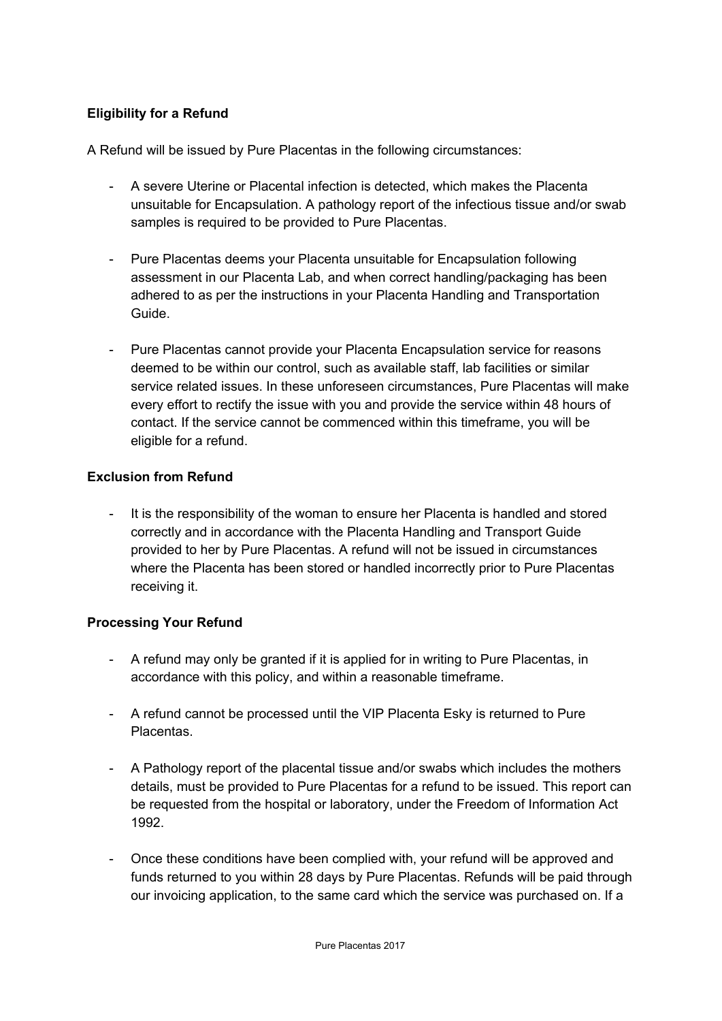# **Eligibility for a Refund**

A Refund will be issued by Pure Placentas in the following circumstances:

- A severe Uterine or Placental infection is detected, which makes the Placenta unsuitable for Encapsulation. A pathology report of the infectious tissue and/or swab samples is required to be provided to Pure Placentas.
- Pure Placentas deems your Placenta unsuitable for Encapsulation following assessment in our Placenta Lab, and when correct handling/packaging has been adhered to as per the instructions in your Placenta Handling and Transportation Guide.
- Pure Placentas cannot provide your Placenta Encapsulation service for reasons deemed to be within our control, such as available staff, lab facilities or similar service related issues. In these unforeseen circumstances, Pure Placentas will make every effort to rectify the issue with you and provide the service within 48 hours of contact. If the service cannot be commenced within this timeframe, you will be eligible for a refund.

#### **Exclusion from Refund**

It is the responsibility of the woman to ensure her Placenta is handled and stored correctly and in accordance with the Placenta Handling and Transport Guide provided to her by Pure Placentas. A refund will not be issued in circumstances where the Placenta has been stored or handled incorrectly prior to Pure Placentas receiving it.

## **Processing Your Refund**

- A refund may only be granted if it is applied for in writing to Pure Placentas, in accordance with this policy, and within a reasonable timeframe.
- A refund cannot be processed until the VIP Placenta Esky is returned to Pure Placentas.
- A Pathology report of the placental tissue and/or swabs which includes the mothers details, must be provided to Pure Placentas for a refund to be issued. This report can be requested from the hospital or laboratory, under the Freedom of Information Act 1992.
- Once these conditions have been complied with, your refund will be approved and funds returned to you within 28 days by Pure Placentas. Refunds will be paid through our invoicing application, to the same card which the service was purchased on. If a